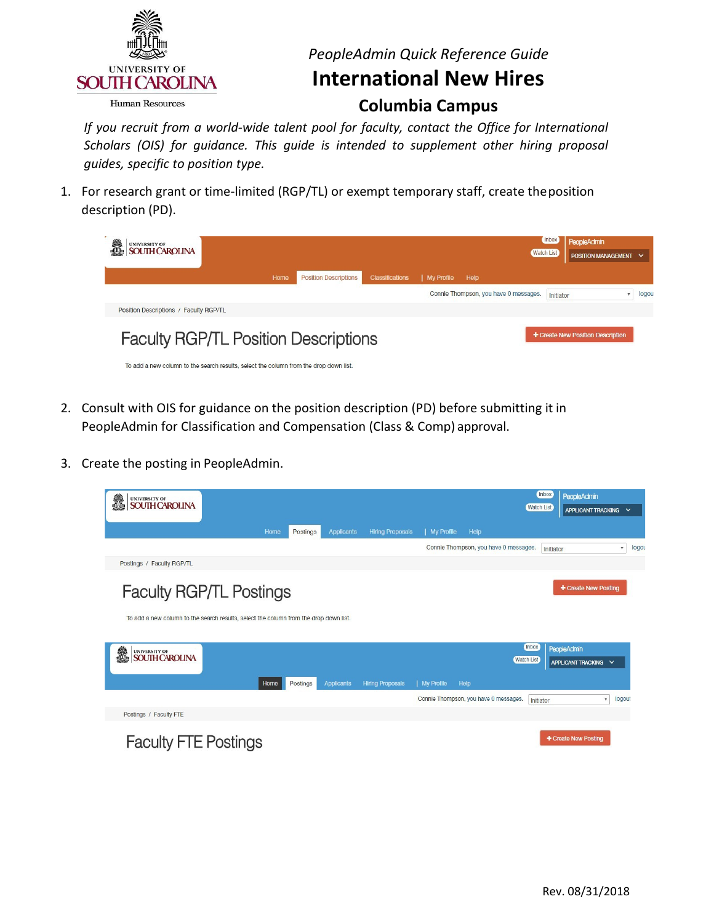

### *PeopleAdmin Quick Reference Guide*

### **International New Hires**

#### **Columbia Campus**

 *If you recruit from a world-wide talent pool for faculty, contact the Office for International Scholars (OIS) for guidance. This guide is intended to supplement other hiring proposal guides, specific to position type.* 

 description (PD). 1. For research grant or time-limited (RGP/TL) or exempt temporary staff, create theposition

| UNIVERSITY OF<br>SOUTH CAROLINA                                                       |      |                              |                        |                   |                                       | <b>Inbox</b><br><b>Watch List</b> | <b>PeopleAdmin</b><br>POSITION MANAGEMENT V |       |
|---------------------------------------------------------------------------------------|------|------------------------------|------------------------|-------------------|---------------------------------------|-----------------------------------|---------------------------------------------|-------|
|                                                                                       | Home | <b>Position Descriptions</b> | <b>Classifications</b> | <b>My Profile</b> | Help                                  |                                   |                                             |       |
| Position Descriptions / Faculty RGP/TL                                                |      |                              |                        |                   | Connie Thompson, you have 0 messages. | Initiator                         |                                             | logou |
| <b>Faculty RGP/TL Position Descriptions</b>                                           |      |                              |                        |                   |                                       |                                   | + Create New Position Description           |       |
| To add a new column to the search results, select the column from the drop down list. |      |                              |                        |                   |                                       |                                   |                                             |       |

- 2. Consult with OIS for guidance on the position description (PD) before submitting it in PeopleAdmin for Classification and Compensation (Class & Comp) approval.
- 3. Create the posting in PeopleAdmin.

| UNIVERSITY OF<br><b>SOUTH CAROLINA</b>                                                                                  |                  |                   |                         |            |                                       | <b>Inbox</b><br><b>Watch List</b> | <b>PeopleAdmin</b><br>APPLICANT TRACKING V |                                   |
|-------------------------------------------------------------------------------------------------------------------------|------------------|-------------------|-------------------------|------------|---------------------------------------|-----------------------------------|--------------------------------------------|-----------------------------------|
|                                                                                                                         |                  |                   |                         |            |                                       |                                   |                                            |                                   |
|                                                                                                                         | Postings<br>Home | <b>Applicants</b> | <b>Hiring Proposals</b> | My Profile | Help                                  |                                   |                                            |                                   |
|                                                                                                                         |                  |                   |                         |            | Connie Thompson, you have 0 messages. | Initiator                         |                                            | logo<br>$\boldsymbol{\mathrm{v}}$ |
| Postings / Faculty RGP/TL                                                                                               |                  |                   |                         |            |                                       |                                   |                                            |                                   |
| <b>Faculty RGP/TL Postings</b><br>To add a new column to the search results, select the column from the drop down list. |                  |                   |                         |            |                                       |                                   | + Create New Posting                       |                                   |
| i.<br><b>UNIVERSITY OF</b><br><b>SOUTH CAROLINA</b>                                                                     | Home<br>Postings | <b>Applicants</b> | <b>Hiring Proposals</b> | My Profile | <b>Watch List</b><br>Help             | <b>Inbox</b>                      | PeopleAdmin<br>APPLICANT TRACKING V        |                                   |
|                                                                                                                         |                  |                   |                         |            | Connie Thompson, you have 0 messages. | Initiator                         | $\boldsymbol{\mathrm{v}}$                  | logout                            |
| Postings / Faculty FTE                                                                                                  |                  |                   |                         |            |                                       |                                   |                                            |                                   |
| <b>Faculty FTE Postings</b>                                                                                             |                  |                   |                         |            |                                       |                                   | + Create New Posting                       |                                   |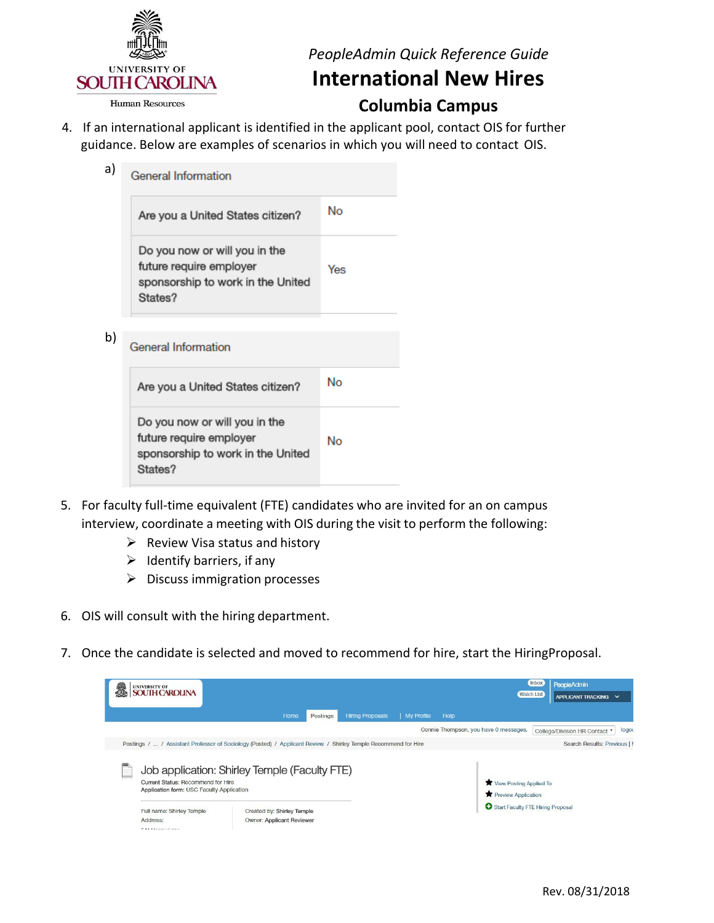

a)

*PeopleAdmin Quick Reference Guide* 

## **International New Hires**

**Columbia Campus** 

 guidance. Below are examples of scenarios in which you will need to contact OIS. 4. If an international applicant is identified in the applicant pool, contact OIS for further

| General Information                                                                                      |     |
|----------------------------------------------------------------------------------------------------------|-----|
| Are you a United States citizen?                                                                         | No  |
| Do you now or will you in the<br>future require employer<br>sponsorship to work in the United<br>States? | Yes |

b) **General Information** 

| Are you a United States citizen?                                                                         | No |
|----------------------------------------------------------------------------------------------------------|----|
| Do you now or will you in the<br>future require employer<br>sponsorship to work in the United<br>States? | No |

- interview, coordinate a meeting with OIS during the visit to perform the following: 5. For faculty full-time equivalent (FTE) candidates who are invited for an on campus
	- $\triangleright$  Review Visa status and history
	- $\triangleright$  Identify barriers, if any
	- $\triangleright$  Discuss immigration processes
- 6. OIS will consult with the hiring department.
- 7. Once the candidate is selected and moved to recommend for hire, start the HiringProposal.

| 譱 | UNIVERSITY OF<br>SOUTH CAROLINA                                                                                                                |                                                                                                          |          |                         |                   |                                                                                     | <b>Inbox</b><br><b>Watch List</b> | PeopleAdmin<br>APPLICANT TRACKING V                                    |
|---|------------------------------------------------------------------------------------------------------------------------------------------------|----------------------------------------------------------------------------------------------------------|----------|-------------------------|-------------------|-------------------------------------------------------------------------------------|-----------------------------------|------------------------------------------------------------------------|
|   |                                                                                                                                                | Home                                                                                                     | Postings | <b>Hiring Proposals</b> | <b>My Profile</b> | Help                                                                                |                                   |                                                                        |
|   | Postings /  / Assistant Professor of Sociology (Posted) / Applicant Review / Shirley Temple Recommend for Hire                                 |                                                                                                          |          |                         |                   | Connie Thompson, you have 0 messages.                                               |                                   | logou<br>College/Division HR Contact v<br>Search Results: Previous   M |
|   | <b>Current Status: Recommend for Hire</b><br>Application form: USC Faculty Application<br>Full name: Shirley Temple<br>Address:<br>$EXAMPLE 1$ | Job application: Shirley Temple (Faculty FTE)<br>Created by: Shirley Temple<br>Owner: Applicant Reviewer |          |                         |                   | View Posting Applied To<br>Preview Application<br>Start Faculty FTE Hiring Proposal |                                   |                                                                        |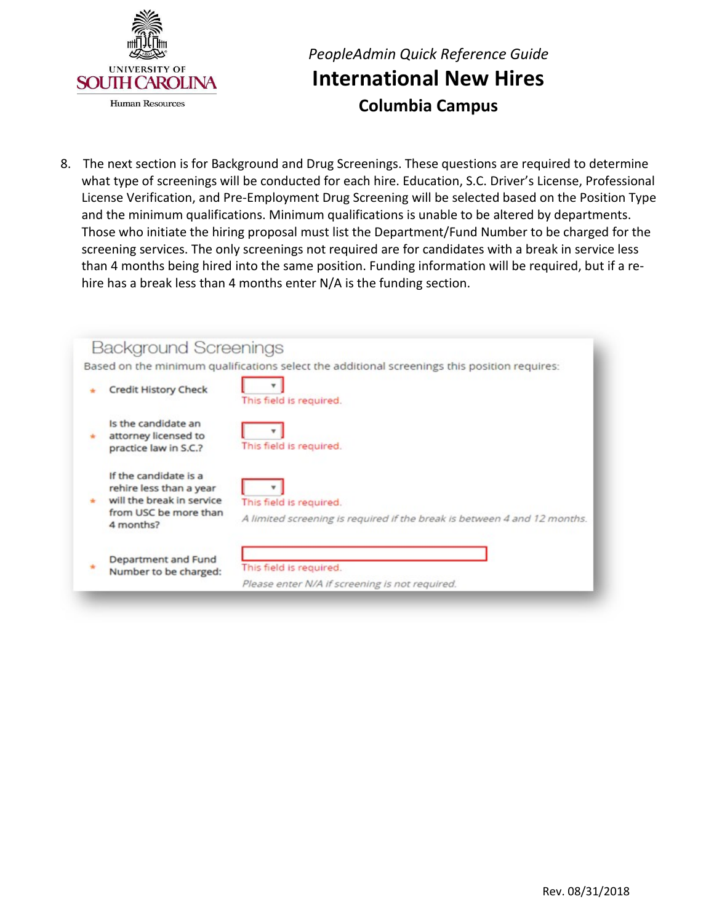

## *PeopleAdmin Quick Reference Guide*  **International New Hires Columbia Campus**

 and the minimum qualifications. Minimum qualifications is unable to be altered by departments. Those who initiate the hiring proposal must list the Department/Fund Number to be charged for the than 4 months being hired into the same position. Funding information will be required, but if a re- hire has a break less than 4 months enter N/A is the funding section. 8. The next section is for Background and Drug Screenings. These questions are required to determine what type of screenings will be conducted for each hire. Education, S.C. Driver's License, Professional License Verification, and Pre-Employment Drug Screening will be selected based on the Position Type screening services. The only screenings not required are for candidates with a break in service less

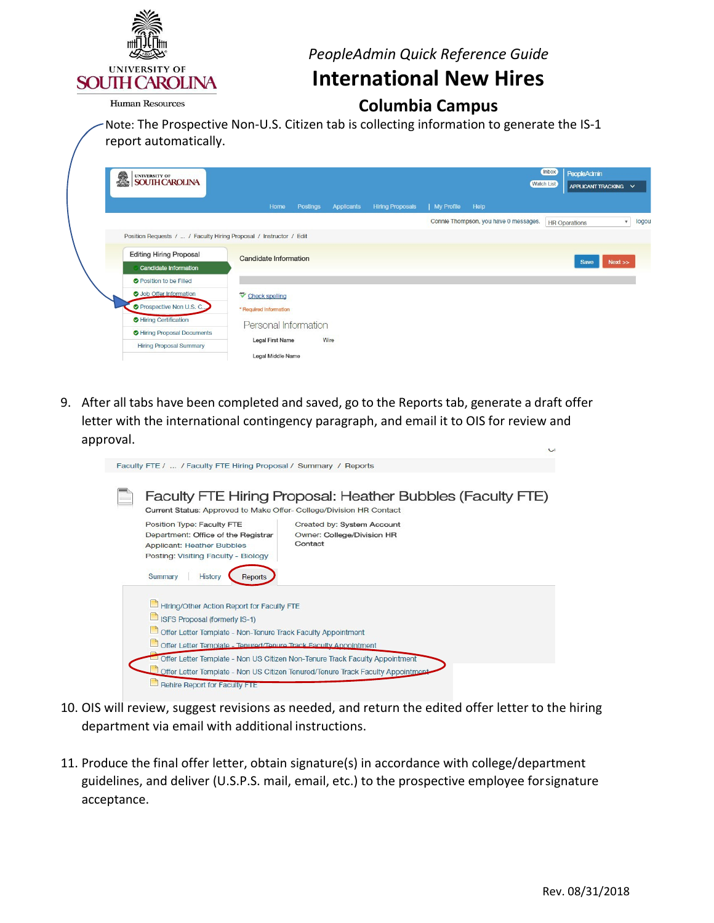

*PeopleAdmin Quick Reference Guide* 

### **International New Hires**

#### **Columbia Campus**

**Human Resources** 

Note: The Prospective Non-U.S. Citizen tab is collecting information to generate the IS-1 report automatically.

| i.<br>UNIVERSITY OF<br>SOUTH CAROLINA |                                                                    |                                              |            |                         |            |                                       | <b>Inbox</b>      | PeopleAdmin          |             |       |
|---------------------------------------|--------------------------------------------------------------------|----------------------------------------------|------------|-------------------------|------------|---------------------------------------|-------------------|----------------------|-------------|-------|
|                                       |                                                                    |                                              |            |                         |            |                                       | <b>Watch List</b> | APPLICANT TRACKING V |             |       |
|                                       | Home                                                               | Postings                                     | Applicants | <b>Hiring Proposals</b> | My Profile | Help                                  |                   |                      |             |       |
|                                       |                                                                    |                                              |            |                         |            | Connie Thompson, you have 0 messages. |                   | <b>HR Operations</b> | $\mathbf v$ | logou |
|                                       | Position Requests /  / Faculty Hiring Proposal / Instructor / Edit |                                              |            |                         |            |                                       |                   |                      |             |       |
| <b>Editing Hiring Proposal</b>        |                                                                    | <b>Candidate Information</b><br>Next<br>Save |            |                         |            |                                       |                   |                      |             |       |
| <b>Candidate Information</b>          |                                                                    |                                              |            |                         |            |                                       |                   |                      |             |       |
| <b>O</b> Position to be Filled        |                                                                    |                                              |            |                         |            |                                       |                   |                      |             |       |
| <b>O</b> Job Offer Information        | Check spelling                                                     |                                              |            |                         |            |                                       |                   |                      |             |       |
| <b>O</b> Prospective Non U.S. C       | * Required Information                                             |                                              |            |                         |            |                                       |                   |                      |             |       |
| Hiring Certification                  |                                                                    | Personal Information                         |            |                         |            |                                       |                   |                      |             |       |
| Hiring Proposal Documents             |                                                                    |                                              |            |                         |            |                                       |                   |                      |             |       |
| <b>Hiring Proposal Summary</b>        | Legal First Name                                                   |                                              | Wire       |                         |            |                                       |                   |                      |             |       |
|                                       | Legal Middle Name                                                  |                                              |            |                         |            |                                       |                   |                      |             |       |

 9. After all tabs have been completed and saved, go to the Reports tab, generate a draft offer letter with the international contingency paragraph, and email it to OIS for review and approval.

| Faculty FTE /  / Faculty FTE Hiring Proposal / Summary / Reports                                                                                                                                                                           |  |  |  |  |  |  |  |
|--------------------------------------------------------------------------------------------------------------------------------------------------------------------------------------------------------------------------------------------|--|--|--|--|--|--|--|
| Faculty FTE Hiring Proposal: Heather Bubbles (Faculty FTE)<br>Current Status: Approved to Make Offer-College/Division HR Contact                                                                                                           |  |  |  |  |  |  |  |
| Position Type: Faculty FTE<br>Created by: System Account<br>Department: Office of the Registrar<br>Owner: College/Division HR<br>Contact<br><b>Applicant: Heather Bubbles</b><br>Posting: Visiting Faculty - Biology<br>Summary<br>History |  |  |  |  |  |  |  |
| Reports<br>Hiring/Other Action Report for Faculty FTE<br>ISFS Proposal (formerly IS-1)<br>Offer Letter Template - Non-Tenure Track Faculty Appointment                                                                                     |  |  |  |  |  |  |  |
| Offer Letter Template - Tenured/Tenure Track Faculty Appointment                                                                                                                                                                           |  |  |  |  |  |  |  |
| $\equiv$ Offer Letter Template - Non US Citizen Non-Tenure Track Faculty Appointment<br>Offer Letter Template - Non US Citizen Tenured/Tenure Track Faculty Appointment                                                                    |  |  |  |  |  |  |  |
| Rehire Report for Faculty FTE                                                                                                                                                                                                              |  |  |  |  |  |  |  |

- department via email with additional instructions. 10. OIS will review, suggest revisions as needed, and return the edited offer letter to the hiring
- guidelines, and deliver (U.S.P.S. mail, email, etc.) to the prospective employee forsignature 11. Produce the final offer letter, obtain signature(s) in accordance with college/department acceptance.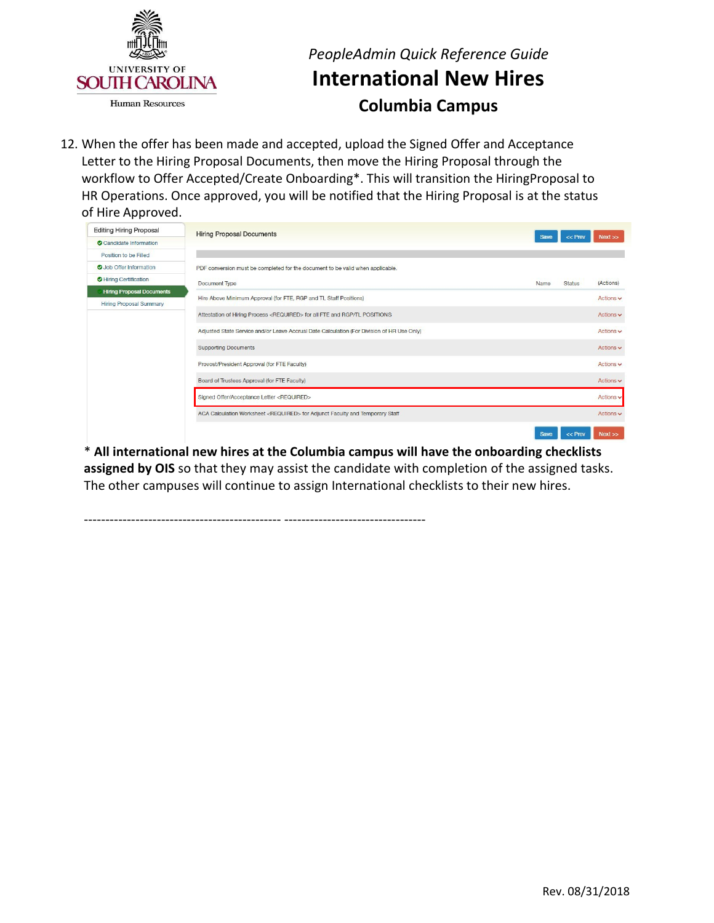

## *PeopleAdmin Quick Reference Guide*  **International New Hires Columbia Campus**

 Letter to the Hiring Proposal Documents, then move the Hiring Proposal through the of Hire Approved. 12. When the offer has been made and accepted, upload the Signed Offer and Acceptance workflow to Offer Accepted/Create Onboarding\*. This will transition the HiringProposal to HR Operations. Once approved, you will be notified that the Hiring Proposal is at the status

| <b>Editing Hiring Proposal</b>   | <b>Hiring Proposal Documents</b>                                                           |             |               |                |
|----------------------------------|--------------------------------------------------------------------------------------------|-------------|---------------|----------------|
| Candidate Information            |                                                                                            | <b>Save</b> | $<<$ Prev     | Next           |
| Position to be Filled            |                                                                                            |             |               |                |
| Job Offer Information            | PDF conversion must be completed for the document to be valid when applicable.             |             |               |                |
| Hiring Certification             | Document Type                                                                              | Name        | <b>Status</b> | (Actions)      |
| <b>Hiring Proposal Documents</b> | Hire Above Minimum Approval (for FTE, RGP and TL Staff Positions)                          |             |               | Actions $\vee$ |
| <b>Hiring Proposal Summary</b>   |                                                                                            |             |               |                |
|                                  | Attestation of Hiring Process <required> for all FTE and RGP/TL POSITIONS</required>       |             |               | Actions $\vee$ |
|                                  | Adjusted State Service and/or Leave Accrual Date Calculation (For Division of HR Use Only) |             |               | Actions v      |
|                                  | <b>Supporting Documents</b>                                                                |             |               | Actions $\vee$ |
|                                  | Provost/President Approval (for FTE Faculty)                                               |             |               | Actions $\vee$ |
|                                  | Board of Trustees Approval (for FTE Faculty)                                               |             |               | Actions $\vee$ |
|                                  | Signed Offer/Acceptance Letter <required></required>                                       |             |               | Actions v      |
|                                  | ACA Calculation Worksheet <required> for Adjunct Faculty and Temporary Staff</required>    |             |               | Actions $\vee$ |
|                                  |                                                                                            | Save        | $<<$ Prev     | Next           |

 \* **All international new hires at the Columbia campus will have the onboarding checklists** The other campuses will continue to assign International checklists to their new hires. **assigned by OIS** so that they may assist the candidate with completion of the assigned tasks.

---------------------------------------------- ---------------------------------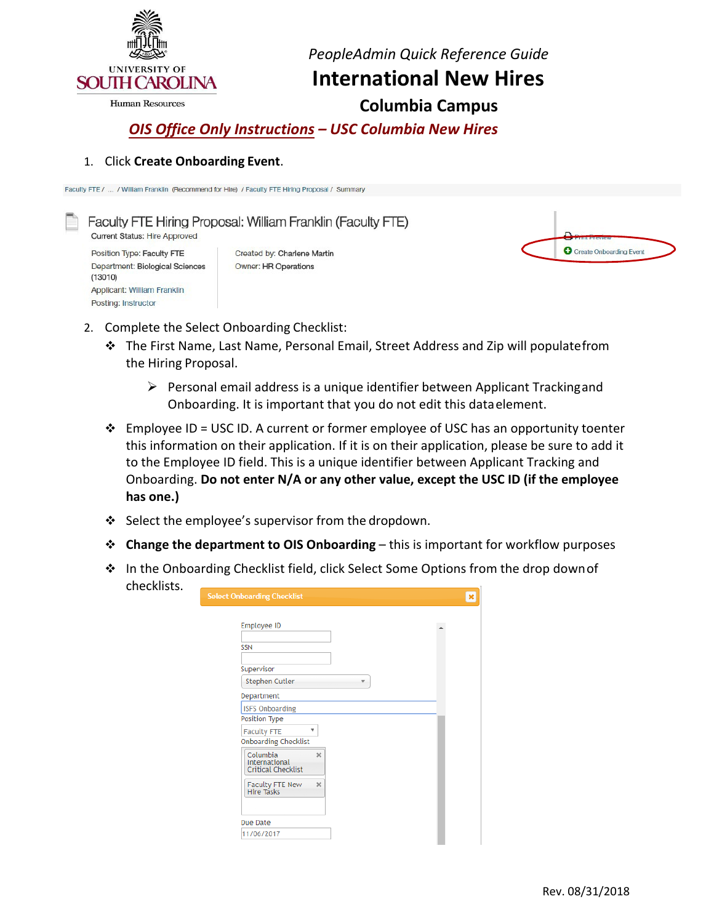

Applicant: William Franklin Posting: Instructor

*PeopleAdmin Quick Reference Guide* 

**International New Hires** 

**Columbia Campus** 

 *OIS Office Only Instructions – USC Columbia New Hires*

#### 1. Click **Create Onboarding Event**.

Faculty FTE / ... / William Franklin (Recommend for Hire) / Faculty FTE Hiring Proposal / Summary

Faculty FTE Hiring Proposal: William Franklin (Faculty FTE) Current Status: Hire Approved Position Type: Faculty FTE Created by: Charlene Martin Department: Biological Sciences Owner: HR Operations  $(13010)$ 

| C Create Onboarding Event |  |
|---------------------------|--|
|                           |  |

- 2. Complete the Select Onboarding Checklist:
	- The First Name, Last Name, Personal Email, Street Address and Zip will populatefrom the Hiring Proposal.
		- $\triangleright$  Personal email address is a unique identifier between Applicant Trackingand Onboarding. It is important that you do not edit this dataelement.
	- $\cdot \cdot$  Employee ID = USC ID. A current or former employee of USC has an opportunity toenter this information on their application. If it is on their application, please be sure to add it to the Employee ID field. This is a unique identifier between Applicant Tracking and Onboarding. **Do not enter N/A or any other value, except the USC ID (if the employee has one.)**
	- $\div$  Select the employee's supervisor from the dropdown.
	- **Change the department to OIS Onboarding**  this is important for workflow purposes
	- ❖ In the Onboarding Checklist field, click Select Some Options from the drop down of checklists.

| Employee ID                                |          |  |
|--------------------------------------------|----------|--|
| <b>SSN</b>                                 |          |  |
| Supervisor                                 |          |  |
| <b>Stephen Cutler</b>                      |          |  |
| Department                                 |          |  |
| <b>ISFS Onboarding</b>                     |          |  |
| Position Type                              |          |  |
| <b>Faculty FTE</b>                         | Δ        |  |
| <b>Onboarding Checklist</b>                |          |  |
| Columbia                                   | $\times$ |  |
| International<br><b>Critical Checklist</b> |          |  |
|                                            |          |  |
| Faculty FTE New<br>Hire Tasks              | $\times$ |  |
|                                            |          |  |
|                                            |          |  |